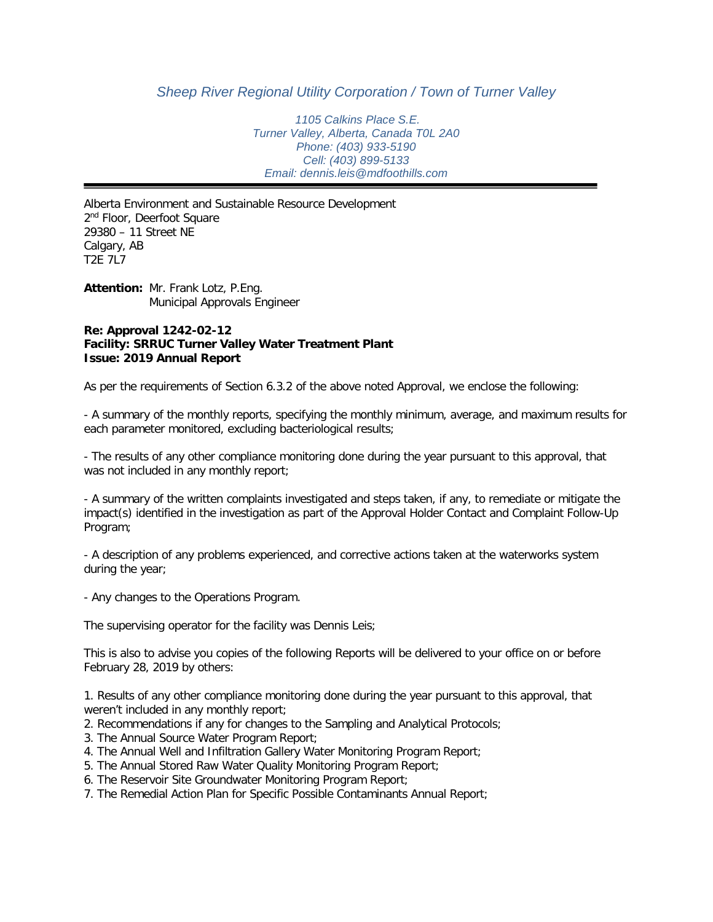## *Sheep River Regional Utility Corporation / Town of Turner Valley*

*1105 Calkins Place S.E. Turner Valley, Alberta, Canada T0L 2A0 Phone: (403) 933-5190 Cell: (403) 899-5133 Email: dennis.leis@mdfoothills.com*

Alberta Environment and Sustainable Resource Development 2<sup>nd</sup> Floor, Deerfoot Square 29380 – 11 Street NE Calgary, AB T2E 7L7

**Attention:** Mr. Frank Lotz, P.Eng. Municipal Approvals Engineer

### **Re: Approval 1242-02-12 Facility: SRRUC Turner Valley Water Treatment Plant Issue: 2019 Annual Report**

As per the requirements of Section 6.3.2 of the above noted Approval, we enclose the following:

- A summary of the monthly reports, specifying the monthly minimum, average, and maximum results for each parameter monitored, excluding bacteriological results;

- The results of any other compliance monitoring done during the year pursuant to this approval, that was not included in any monthly report;

- A summary of the written complaints investigated and steps taken, if any, to remediate or mitigate the impact(s) identified in the investigation as part of the Approval Holder Contact and Complaint Follow-Up Program;

- A description of any problems experienced, and corrective actions taken at the waterworks system during the year;

- Any changes to the Operations Program.

The supervising operator for the facility was Dennis Leis;

This is also to advise you copies of the following Reports will be delivered to your office on or before February 28, 2019 by others:

1. Results of any other compliance monitoring done during the year pursuant to this approval, that weren't included in any monthly report;

2. Recommendations if any for changes to the Sampling and Analytical Protocols;

- 3. The Annual Source Water Program Report;
- 4. The Annual Well and Infiltration Gallery Water Monitoring Program Report;
- 5. The Annual Stored Raw Water Quality Monitoring Program Report;
- 6. The Reservoir Site Groundwater Monitoring Program Report;
- 7. The Remedial Action Plan for Specific Possible Contaminants Annual Report;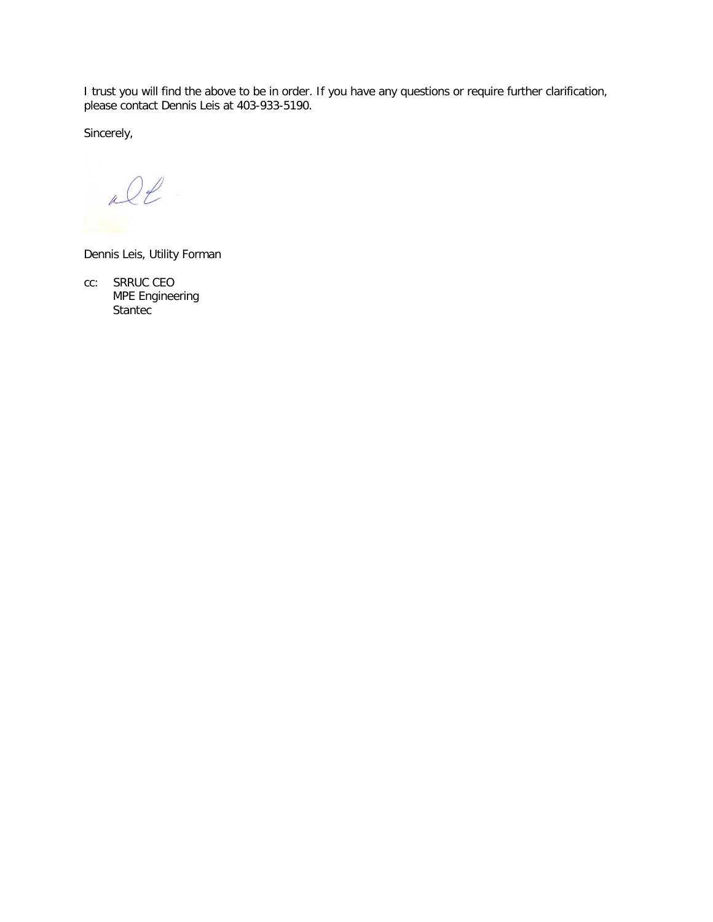I trust you will find the above to be in order. If you have any questions or require further clarification, please contact Dennis Leis at 403-933-5190.

Sincerely,

De

Dennis Leis, Utility Forman

cc: SRRUC CEO MPE Engineering Stantec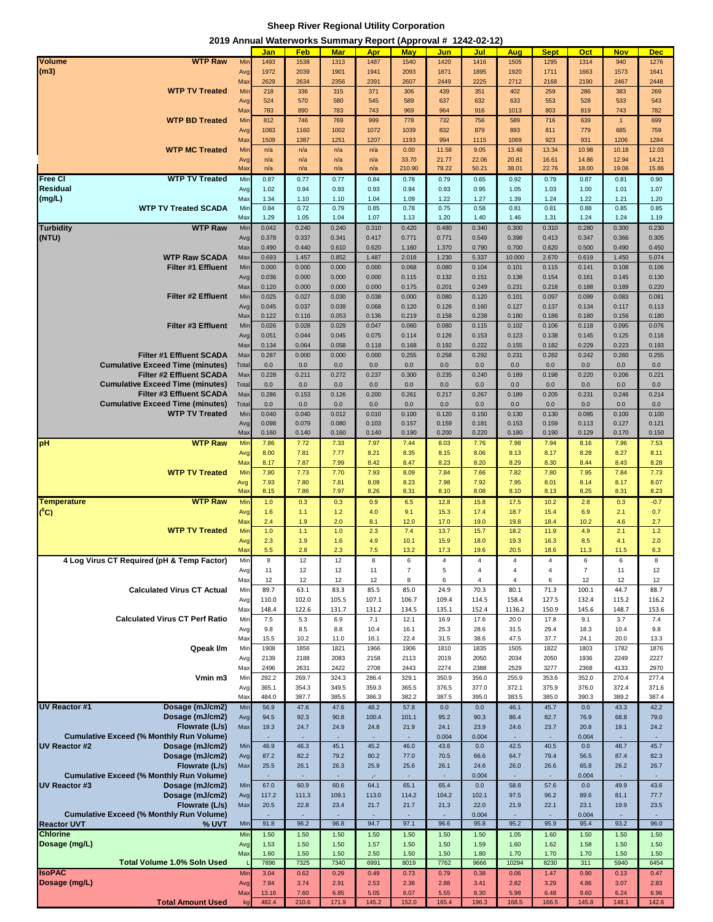### **Sheep River Regional Utility Corporation**

**2019 Annual Waterworks Summary Report (Approval # 1242-02-12)**

|                           |                                                                            |              | Jan            | Feb            | <b>Mar</b>     | Apr            | <b>May</b>     | <b>Jun</b>     | Jul            | Aug                    | <b>Sept</b>    | Oct            | <b>Nov</b>     | <b>Dec</b>     |
|---------------------------|----------------------------------------------------------------------------|--------------|----------------|----------------|----------------|----------------|----------------|----------------|----------------|------------------------|----------------|----------------|----------------|----------------|
| <b>Volume</b>             | <b>WTP Raw</b>                                                             | Mir          | 1493           | 1538           | 1313           | 1487           | 1540           | 1420           | 1416           | 1505                   | 1295           | 1314           | 940            | 1276           |
| (m3)                      |                                                                            | Avg          | 1972           | 2039           | 1901           | 1941           | 2093           | 1871           | 1895           | 1920                   | 1711           | 1663           | 1573           | 1641           |
|                           |                                                                            | Max          | 2629           | 2634           | 2356           | 2391           | 2607           | 2449           | 2225           | 2712                   | 2168           | 2190           | 2467           | 2448           |
|                           | <b>WTP TV Treated</b>                                                      | Mir          | 218            | 336            | 315            | 371            | 306            | 439            | 351            | 402                    | 259            | 286            | 383            | 269            |
|                           |                                                                            | Avg<br>Max   | 524<br>783     | 570<br>890     | 580<br>783     | 545<br>743     | 589<br>969     | 637<br>964     | 632<br>916     | 633<br>1013            | 553<br>803     | 528<br>819     | 533<br>743     | 543<br>782     |
|                           | <b>WTP BD Treated</b>                                                      | Mir          | 812            | 746            | 769            | 999            | 778            | 732            | 756            | 589                    | 716            | 639            | $\overline{1}$ | 699            |
|                           |                                                                            | Avg          | 1083           | 1160           | 1002           | 1072           | 1039           | 832            | 879            | 893                    | 811            | 779            | 685            | 759            |
|                           |                                                                            | Max          | 1509           | 1387           | 1251           | 1207           | 1193           | 994            | 1115           | 1069                   | 923            | 931            | 1206           | 1284           |
|                           | <b>WTP MC Treated</b>                                                      | Mir          | n/a            | n/a            | n/a            | n/a            | 0.00           | 11.58          | 9.05           | 13.48                  | 13.34          | 10.98          | 10.18          | 12.03          |
|                           |                                                                            | Avg          | n/a            | n/a            | n/a            | n/a            | 33.70          | 21.77          | 22.06          | 20.81                  | 16.61          | 14.86          | 12.94          | 14.21          |
|                           |                                                                            | Max          | n/a            | n/a            | n/a            | n/a            | 210.90         | 78.22          | 50.21          | 38.01                  | 22.76          | 18.00          | 19.06          | 15.86          |
| <b>Free CI</b>            | <b>WTP TV Treated</b>                                                      | Min          | 0.87           | 0.77           | 0.77           | 0.84           | 0.78           | 0.79           | 0.65           | 0.92                   | 0.79           | 0.87           | 0.81           | 0.90           |
| <b>Residual</b><br>(mg/L) |                                                                            | Avg<br>Max   | 1.02<br>1.34   | 0.94<br>1.10   | 0.93<br>1.10   | 0.93<br>1.04   | 0.94<br>1.09   | 0.93<br>1.22   | 0.95<br>1.27   | 1.05<br>1.39           | 1.03<br>1.24   | 1.00<br>1.22   | 1.01<br>1.21   | 1.07<br>1.20   |
|                           | <b>WTP TV Treated SCADA</b>                                                | Mir          | 0.84           | 0.72           | 0.79           | 0.85           | 0.78           | 0.75           | 0.58           | 0.81                   | 0.81           | 0.88           | 0.85           | 0.85           |
|                           |                                                                            | Max          | 1.29           | 1.05           | 1.04           | 1.07           | 1.13           | 1.20           | 1.40           | 1.46                   | 1.31           | 1.24           | 1.24           | 1.19           |
| <b>Turbidity</b>          | <b>WTP Raw</b>                                                             | Mir          | 0.042          | 0.240          | 0.240          | 0.310          | 0.420          | 0.480          | 0.340          | 0.300                  | 0.310          | 0.280          | 0.300          | 0.230          |
| (NTU)                     |                                                                            | Avg          | 0.378          | 0.337          | 0.341          | 0.417          | 0.771          | 0.771          | 0.549          | 0.398                  | 0.413          | 0.347          | 0.366          | 0.305          |
|                           |                                                                            | Max          | 0.490          | 0.440          | 0.610          | 0.620          | 1.160          | 1.370          | 0.790          | 0.700                  | 0.620          | 0.500          | 0.490          | 0.450          |
|                           | <b>WTP Raw SCADA</b>                                                       | Max          | 0.693          | 1.457          | 0.852          | 1.487          | 2.018          | 1.230          | 5.337          | 10.000                 | 2.670          | 0.619          | 1.450          | 5.074          |
|                           | <b>Filter #1 Effluent</b>                                                  | Mir          | 0.000          | 0.000          | 0.000          | 0.000          | 0.068          | 0.080          | 0.104          | 0.101                  | 0.115          | 0.141          | 0.108          | 0.106          |
|                           |                                                                            | Avg<br>Max   | 0.036<br>0.120 | 0.000<br>0.000 | 0.000<br>0.000 | 0.000<br>0.000 | 0.115<br>0.175 | 0.132<br>0.201 | 0.151<br>0.249 | 0.138<br>0.231         | 0.154<br>0.218 | 0.161<br>0.188 | 0.145<br>0.189 | 0.130<br>0.220 |
|                           | <b>Filter #2 Effluent</b>                                                  | Mir          | 0.025          | 0.027          | 0.030          | 0.038          | 0.000          | 0.080          | 0.120          | 0.101                  | 0.097          | 0.099          | 0.083          | 0.081          |
|                           |                                                                            | Avg          | 0.045          | 0.037          | 0.039          | 0.068          | 0.120          | 0.126          | 0.160          | 0.127                  | 0.137          | 0.134          | 0.117          | 0.113          |
|                           |                                                                            | Max          | 0.122          | 0.116          | 0.053          | 0.136          | 0.219          | 0.158          | 0.238          | 0.180                  | 0.186          | 0.180          | 0.156          | 0.180          |
|                           | Filter #3 Effluent                                                         | Mir          | 0.026          | 0.028          | 0.029          | 0.047          | 0.060          | 0.080          | 0.115          | 0.102                  | 0.106          | 0.118          | 0.095          | 0.076          |
|                           |                                                                            | Avg          | 0.051          | 0.044          | 0.045          | 0.075          | 0.114          | 0.126          | 0.153          | 0.123                  | 0.138          | 0.145          | 0.125          | 0.116          |
|                           |                                                                            | Max          | 0.134          | 0.064          | 0.058          | 0.118          | 0.168          | 0.192          | 0.222          | 0.155                  | 0.182          | 0.229          | 0.223          | 0.193          |
|                           | <b>Filter #1 Effluent SCADA</b><br><b>Cumulative Exceed Time (minutes)</b> | Max<br>Total | 0.287<br>0.0   | 0.000<br>0.0   | 0.000<br>0.0   | 0.000<br>0.0   | 0.255<br>0.0   | 0.258<br>0.0   | 0.292<br>0.0   | 0.231<br>0.0           | 0.282<br>0.0   | 0.242<br>0.0   | 0.260<br>0.0   | 0.255<br>0.0   |
|                           | <b>Filter #2 Effluent SCADA</b>                                            | Max          | 0.228          | 0.211          | 0.272          | 0.237          | 0.300          | 0.235          | 0.240          | 0.189                  | 0.198          | 0.220          | 0.206          | 0.221          |
|                           | <b>Cumulative Exceed Time (minutes)</b>                                    | Total        | 0.0            | 0.0            | 0.0            | 0.0            | 0.0            | 0.0            | 0.0            | 0.0                    | 0.0            | 0.0            | 0.0            | 0.0            |
|                           | <b>Filter #3 Effluent SCADA</b>                                            | Max          | 0.286          | 0.153          | 0.126          | 0.200          | 0.261          | 0.217          | 0.267          | 0.189                  | 0.205          | 0.231          | 0.246          | 0.214          |
|                           | <b>Cumulative Exceed Time (minutes)</b>                                    | Total        | 0.0            | 0.0            | 0.0            | 0.0            | 0.0            | 0.0            | 0.0            | 0.0                    | 0.0            | 0.0            | 0.0            | 0.0            |
|                           | <b>WTP TV Treated</b>                                                      | Min          | 0.040          | 0.040          | 0.012          | 0.010          | 0.100          | 0.120          | 0.150          | 0.130                  | 0.130          | 0.095          | 0.100          | 0.100          |
|                           |                                                                            | Avg<br>Max   | 0.098<br>0.160 | 0.079<br>0.140 | 0.080<br>0.160 | 0.103<br>0.140 | 0.157<br>0.190 | 0.159<br>0.200 | 0.181<br>0.220 | 0.153<br>0.180         | 0.159<br>0.190 | 0.113<br>0.129 | 0.127<br>0.170 | 0.121<br>0.150 |
| pH                        | <b>WTP Raw</b>                                                             | Mir          | 7.86           | 7.72           | 7.33           | 7.97           | 7.44           | 8.03           | 7.76           | 7.98                   | 7.94           | 8.16           | 7.96           | 7.53           |
|                           |                                                                            | Avg          | 8.00           | 7.81           | 7.77           | 8.21           | 8.35           | 8.15           | 8.06           | 8.13                   | 8.17           | 8.28           | 8.27           | 8.11           |
|                           |                                                                            | Max          | 8.17           | 7.87           | 7.99           | 8.42           | 8.47           | 8.23           | 8.20           | 8.29                   | 8.30           | 8.44           | 8.43           | 8.28           |
|                           | <b>WTP TV Treated</b>                                                      | Mir          | 7.80           | 7.73           | 7.70           | 7.93           | 8.09           | 7.84           | 7.66           | 7.82                   | 7.80           | 7.95           | 7.84           | 7.73           |
|                           |                                                                            | Avg          | 7.93           | 7.80           | 7.81           | 8.09           | 8.23           | 7.98           | 7.92           | 7.95                   | 8.01           | 8.14           | 8.17           | 8.07           |
|                           |                                                                            | Max          | 8.15           | 7.86           | 7.97           | 8.26           | 8.31           | 8.10           | 8.08           | 8.10                   | 8.13           | 8.25           | 8.31           | 8.23           |
| <b>Temperature</b>        | <b>WTP Raw</b>                                                             | Mir          | 1.0            | 0.3            | 0.3            | 0.9            | 6.5            | 12.8           | 15.8           | 17.5                   | 10.2           | 2.8            | 0.3            | $-0.7$         |
| $(^0C)$                   |                                                                            | Avg<br>Max   | 1.6<br>2.4     | 1.1<br>1.9     | 1.2<br>2.0     | 4.0<br>8.1     | 9.1<br>12.0    | 15.3<br>17.0   | 17.4<br>19.0   | 18.7<br>19.8           | 15.4<br>18.4   | 6.9<br>10.2    | 2.1<br>4.6     | 0.7<br>2.7     |
|                           | <b>WTP TV Treated</b>                                                      | Mir          | 1.0            | 1.1            | 1.0            | 2.3            | 7.4            | 13.7           | 15.7           | 18.2                   | 11.9           | 4.9            | 2.1            | 1.2            |
|                           |                                                                            | Avg          | 2.3            | 1.9            | 1.6            | 4.9            | 10.1           | 15.9           | 18.0           | 19.3                   | 16.3           | 8.5            | 4.1            | 2.0            |
|                           |                                                                            | Max          | 5.5            | 2.8            | 2.3            | 7.5            | 13.2           | 17.3           | 19.6           | 20.5                   | 18.6           | 11.3           | 11.5           | 6.3            |
|                           | 4 Log Virus CT Required (pH & Temp Factor)                                 | Min          | 8              | 12             | 12             | 8              | 6              | 4              | 4              | 4                      | 4              | 6              | 6              | 8              |
|                           |                                                                            | Avg          | 11             | 12             | 12             | 11             | $\overline{7}$ | 5              | 4              | 4                      | $\overline{4}$ | $\overline{7}$ | 11             | 12             |
|                           | <b>Calculated Virus CT Actual</b>                                          | Max<br>Mir   | 12<br>89.7     | 12<br>63.1     | 12<br>83.3     | 12<br>85.5     | 8<br>85.0      | 6<br>24.9      | 4<br>70.3      | $\overline{4}$<br>80.1 | 6<br>71.3      | 12<br>100.1    | 12<br>44.7     | 12<br>88.7     |
|                           |                                                                            | Avg          | 110.0          | 102.0          | 105.5          | 107.1          | 106.7          | 109.4          | 114.5          | 158.4                  | 127.5          | 132.4          | 115.2          | 116.2          |
|                           |                                                                            | Max          | 148.4          | 122.6          | 131.7          | 131.2          | 134.5          | 135.1          | 152.4          | 1136.2                 | 150.9          | 145.6          | 148.7          | 153.6          |
|                           | <b>Calculated Virus CT Perf Ratio</b>                                      | Mir          | 7.5            | 5.3            | 6.9            | 7.1            | 12.1           | 16.9           | 17.6           | 20.0                   | 17.8           | 9.1            | 3.7            | 7.4            |
|                           |                                                                            | Avg          | 9.8            | 8.5            | 8.8            | 10.4           | 16.1           | 25.3           | 28.6           | 31.5                   | 29.4           | 18.3           | 10.4           | 9.8            |
|                           |                                                                            | Max          | 15.5           | 10.2           | 11.0           | 16.1           | 22.4           | 31.5           | 38.6           | 47.5                   | 37.7           | 24.1           | 20.0           | 13.3           |
|                           | Qpeak I/m                                                                  | Min<br>Avg   | 1908<br>2139   | 1856<br>2188   | 1821<br>2083   | 1966<br>2158   | 1906<br>2113   | 1810<br>2019   | 1835<br>2050   | 1505<br>2034           | 1822<br>2050   | 1803<br>1936   | 1782<br>2249   | 1876<br>2227   |
|                           |                                                                            | Max          | 2496           | 2631           | 2422           | 2708           | 2443           | 2274           | 2388           | 2529                   | 3277           | 2368           | 4133           | 2970           |
|                           | Vmin m3                                                                    | Mir          | 292.2          | 269.7          | 324.3          | 286.4          | 329.1          | 350.9          | 356.0          | 255.9                  | 353.6          | 352.0          | 270.4          | 277.4          |
|                           |                                                                            | Avg          | 365.1          | 354.3          | 349.5          | 359.3          | 365.5          | 376.5          | 377.0          | 372.1                  | 375.9          | 376.0          | 372.4          | 371.6          |
|                           |                                                                            | Max          | 484.0          | 387.7          | 385.5          | 386.3          | 382.2          | 387.5          | 395.0          | 383.5                  | 385.0          | 390.3          | 389.2          | 387.4          |
| <b>UV Reactor #1</b>      | Dosage (mJ/cm2)                                                            | Min          | 56.9<br>94.5   | 47.6<br>92.3   | 47.6           | 48.2<br>100.4  | 57.8           | 0.0<br>95.2    | 0.0            | 46.1                   | 45.7           | 0.0            | 43.3<br>68.8   | 42.2<br>79.0   |
|                           | Dosage (mJ/cm2)<br>Flowrate (L/s)                                          | Avg<br>Max   | 19.3           | 24.7           | 90.8<br>24.9   | 24.8           | 101.1<br>21.9  | 24.1           | 90.3<br>23.9   | 86.4<br>24.6           | 82.7<br>23.7   | 76.9<br>20.8   | 19.1           | 24.2           |
|                           | <b>Cumulative Exceed (% Monthly Run Volume)</b>                            |              | ×.             | ×.             |                |                |                | 0.004          | 0.004          |                        | ٠              | 0.004          |                | ٠              |
| <b>UV Reactor #2</b>      | Dosage (mJ/cm2)                                                            | Min          | 46.9           | 46.3           | 45.1           | 45.2           | 46.0           | 43.6           | 0.0            | 42.5                   | 40.5           | 0.0            | 48.7           | 45.7           |
|                           | Dosage (mJ/cm2)                                                            | Avg          | 87.2           | 82.2           | 79.2           | 80.2           | 77.0           | 70.5           | 66.6           | 64.7                   | 79.4           | 56.5           | 87.4           | 82.3           |
|                           | Flowrate (L/s)                                                             | Max          | 25.5           | 26.1           | 26.3           | 25.9           | 25.6           | 26.1           | 24.6           | 26.0                   | 26.6           | 65.8           | 26.2           | 26.7           |
|                           | <b>Cumulative Exceed (% Monthly Run Volume)</b>                            |              | ×,             |                |                | 64.1           |                |                | 0.004<br>0.0   |                        |                | 0.004          |                | ÷.             |
| <b>UV Reactor #3</b>      | Dosage (mJ/cm2)<br>Dosage (mJ/cm2)                                         | Min<br>Avg   | 67.0<br>117.2  | 60.9<br>111.3  | 60.6<br>109.1  | 113.0          | 65.1<br>114.2  | 65.4<br>104.2  | 102.1          | 58.8<br>97.5           | 57.6<br>96.2   | 0.0<br>89.6    | 49.9<br>81.1   | 43.6<br>77.7   |
|                           | Flowrate (L/s)                                                             | Max          | 20.5           | 22.8           | 23.4           | 21.7           | 21.7           | 21.3           | 22.0           | 21.9                   | 22.1           | 23.1           | 19.9           | 23.5           |
|                           | <b>Cumulative Exceed (% Monthly Run Volume)</b>                            |              | ×.             | ×.             | ÷.             |                |                |                | 0.004          |                        | ÷.             | 0.004          |                | ×.             |
| <b>Reactor UVT</b>        | % UVT                                                                      | Mir          | 91.8           | 96.2           | 96.8           | 94.7           | 97.1           | 96.6           | 95.8           | 95.2                   | 95.9           | 95.4           | 93.2           | 96.0           |
| <b>Chlorine</b>           |                                                                            | Mir          | 1.50           | 1.50           | 1.50           | 1.50           | 1.50           | 1.50           | 1.50           | 1.05                   | 1.60           | 1.50           | 1.50           | 1.50           |
| Dosage (mg/L)             |                                                                            | Avg          | 1.53           | 1.50           | 1.50           | 1.57           | 1.50           | 1.50           | 1.59           | 1.60                   | 1.62           | 1.58           | 1.50           | 1.50           |
|                           | Total Volume 1.0% Soln Used                                                | Max          | 1.60<br>7896   | 1.50<br>7325   | 1.50<br>7340   | 2.50<br>6991   | 1.50<br>8019   | 1.50<br>7762   | 1.80<br>9666   | 1.70<br>10294          | 1.70<br>8230   | 1.70<br>311    | 1.50<br>5940   | 1.50<br>6454   |
| <b>IsoPAC</b>             |                                                                            | Mir          | 3.04           | 0.62           | 0.29           | 0.49           | 0.73           | 0.79           | 0.38           | 0.06                   | 1.47           | 0.90           | 0.13           | 0.47           |
| Dosage (mg/L)             |                                                                            | Avg          | 7.84           | 3.74           | 2.91           | 2.53           | 2.36           | 2.88           | 3.41           | 2.82                   | 3.29           | 4.86           | 3.07           | 2.83           |
|                           |                                                                            | Max          | 13.16          | 7.60           | 6.85           | 5.05           | 6.07           | 5.55           | 8.30           | 5.98                   | 6.48           | 9.60           | 6.24           | 6.96           |
|                           | <b>Total Amount Used</b>                                                   | kg           | 482.4          | 210.6          | 171.9          | 145.2          | 152.0          | 165.4          | 196.3          | 168.5                  | 166.5          | 145.8          | 148.1          | 142.6          |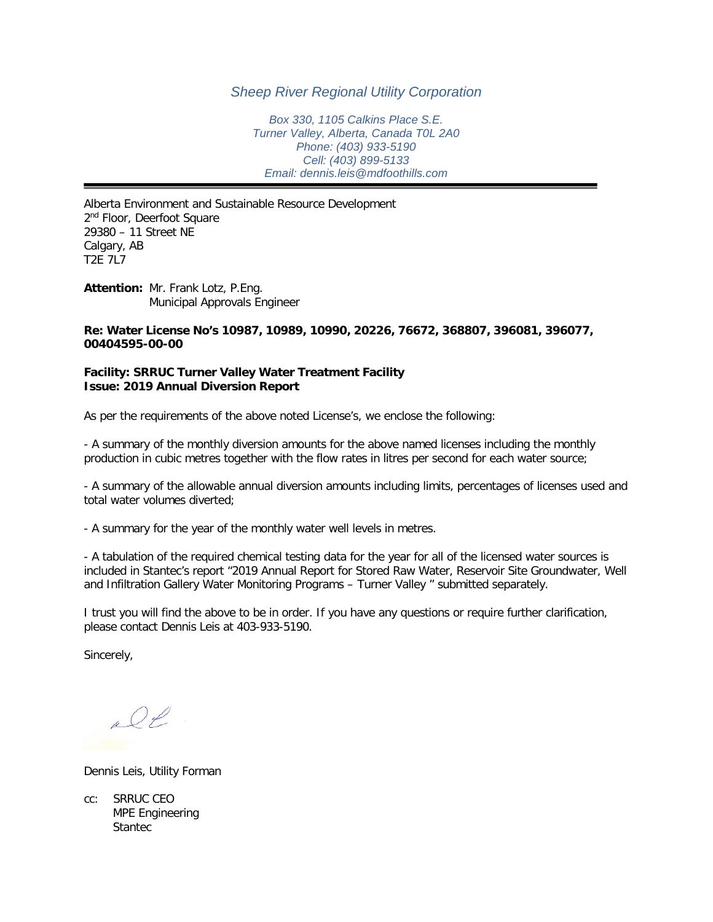## *Sheep River Regional Utility Corporation*

*Box 330, 1105 Calkins Place S.E. Turner Valley, Alberta, Canada T0L 2A0 Phone: (403) 933-5190 Cell: (403) 899-5133 Email: dennis.leis@mdfoothills.com*

Alberta Environment and Sustainable Resource Development 2<sup>nd</sup> Floor, Deerfoot Square 29380 – 11 Street NE Calgary, AB T2E 7L7

**Attention:** Mr. Frank Lotz, P.Eng. Municipal Approvals Engineer

### **Re: Water License No's 10987, 10989, 10990, 20226, 76672, 368807, 396081, 396077, 00404595-00-00**

### **Facility: SRRUC Turner Valley Water Treatment Facility Issue: 2019 Annual Diversion Report**

As per the requirements of the above noted License's, we enclose the following:

- A summary of the monthly diversion amounts for the above named licenses including the monthly production in cubic metres together with the flow rates in litres per second for each water source;

- A summary of the allowable annual diversion amounts including limits, percentages of licenses used and total water volumes diverted;

- A summary for the year of the monthly water well levels in metres.

- A tabulation of the required chemical testing data for the year for all of the licensed water sources is included in Stantec's report "2019 Annual Report for Stored Raw Water, Reservoir Site Groundwater, Well and Infiltration Gallery Water Monitoring Programs – Turner Valley " submitted separately.

I trust you will find the above to be in order. If you have any questions or require further clarification, please contact Dennis Leis at 403-933-5190.

Sincerely,

all

Dennis Leis, Utility Forman

cc: SRRUC CEO MPE Engineering **Stantec**